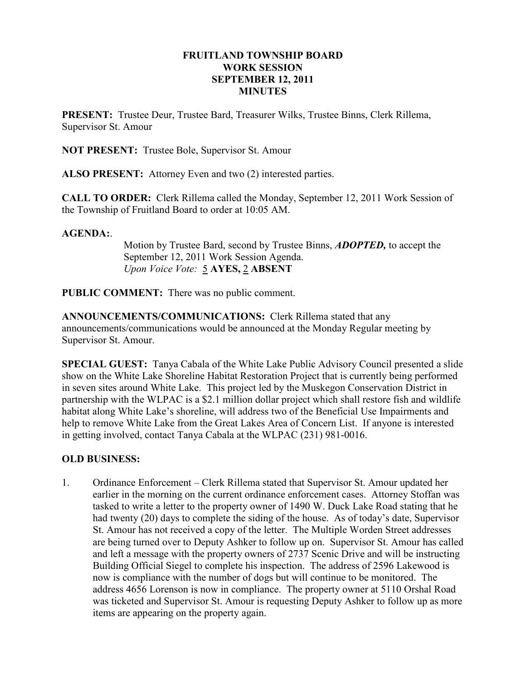### FRUITLAND TOWNSHIP BOARD WORK SESSION SEPTEMBER 12, 2011 **MINUTES**

PRESENT: Trustee Deur, Trustee Bard, Treasurer Wilks, Trustee Binns, Clerk Rillema, Supervisor St. Amour

NOT PRESENT: Trustee Bole, Supervisor St. Amour

ALSO PRESENT: Attorney Even and two (2) interested parties.

CALL TO ORDER: Clerk Rillema called the Monday, September 12, 2011 Work Session of the Township of Fruitland Board to order at 10:05 AM.

#### AGENDA:.

Motion by Trustee Bard, second by Trustee Binns, **ADOPTED**, to accept the September 12, 2011 Work Session Agenda. Upon Voice Vote: 5 AYES, 2 ABSENT

PUBLIC COMMENT: There was no public comment.

ANNOUNCEMENTS/COMMUNICATIONS: Clerk Rillema stated that any announcements/communications would be announced at the Monday Regular meeting by Supervisor St. Amour.

SPECIAL GUEST: Tanya Cabala of the White Lake Public Advisory Council presented a slide show on the White Lake Shoreline Habitat Restoration Project that is currently being performed in seven sites around White Lake. This project led by the Muskegon Conservation District in partnership with the WLPAC is a \$2.1 million dollar project which shall restore fish and wildlife habitat along White Lake's shoreline, will address two of the Beneficial Use Impairments and help to remove White Lake from the Great Lakes Area of Concern List. If anyone is interested in getting involved, contact Tanya Cabala at the WLPAC (231) 981-0016.

# OLD BUSINESS:

1. Ordinance Enforcement – Clerk Rillema stated that Supervisor St. Amour updated her earlier in the morning on the current ordinance enforcement cases. Attorney Stoffan was tasked to write a letter to the property owner of 1490 W. Duck Lake Road stating that he had twenty (20) days to complete the siding of the house. As of today's date, Supervisor St. Amour has not received a copy of the letter. The Multiple Worden Street addresses are being turned over to Deputy Ashker to follow up on. Supervisor St. Amour has called and left a message with the property owners of 2737 Scenic Drive and will be instructing Building Official Siegel to complete his inspection. The address of 2596 Lakewood is now is compliance with the number of dogs but will continue to be monitored. The address 4656 Lorenson is now in compliance. The property owner at 5110 Orshal Road was ticketed and Supervisor St. Amour is requesting Deputy Ashker to follow up as more items are appearing on the property again.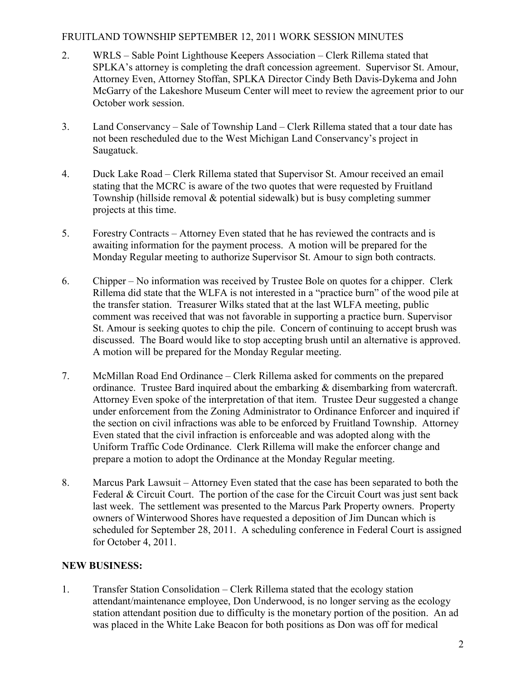## FRUITLAND TOWNSHIP SEPTEMBER 12, 2011 WORK SESSION MINUTES

- 2. WRLS Sable Point Lighthouse Keepers Association Clerk Rillema stated that SPLKA's attorney is completing the draft concession agreement. Supervisor St. Amour, Attorney Even, Attorney Stoffan, SPLKA Director Cindy Beth Davis-Dykema and John McGarry of the Lakeshore Museum Center will meet to review the agreement prior to our October work session.
- 3. Land Conservancy Sale of Township Land Clerk Rillema stated that a tour date has not been rescheduled due to the West Michigan Land Conservancy's project in Saugatuck.
- 4. Duck Lake Road Clerk Rillema stated that Supervisor St. Amour received an email stating that the MCRC is aware of the two quotes that were requested by Fruitland Township (hillside removal & potential sidewalk) but is busy completing summer projects at this time.
- 5. Forestry Contracts Attorney Even stated that he has reviewed the contracts and is awaiting information for the payment process. A motion will be prepared for the Monday Regular meeting to authorize Supervisor St. Amour to sign both contracts.
- 6. Chipper No information was received by Trustee Bole on quotes for a chipper. Clerk Rillema did state that the WLFA is not interested in a "practice burn" of the wood pile at the transfer station. Treasurer Wilks stated that at the last WLFA meeting, public comment was received that was not favorable in supporting a practice burn. Supervisor St. Amour is seeking quotes to chip the pile. Concern of continuing to accept brush was discussed. The Board would like to stop accepting brush until an alternative is approved. A motion will be prepared for the Monday Regular meeting.
- 7. McMillan Road End Ordinance Clerk Rillema asked for comments on the prepared ordinance. Trustee Bard inquired about the embarking & disembarking from watercraft. Attorney Even spoke of the interpretation of that item. Trustee Deur suggested a change under enforcement from the Zoning Administrator to Ordinance Enforcer and inquired if the section on civil infractions was able to be enforced by Fruitland Township. Attorney Even stated that the civil infraction is enforceable and was adopted along with the Uniform Traffic Code Ordinance. Clerk Rillema will make the enforcer change and prepare a motion to adopt the Ordinance at the Monday Regular meeting.
- 8. Marcus Park Lawsuit Attorney Even stated that the case has been separated to both the Federal & Circuit Court. The portion of the case for the Circuit Court was just sent back last week. The settlement was presented to the Marcus Park Property owners. Property owners of Winterwood Shores have requested a deposition of Jim Duncan which is scheduled for September 28, 2011. A scheduling conference in Federal Court is assigned for October 4, 2011.

# NEW BUSINESS:

1. Transfer Station Consolidation – Clerk Rillema stated that the ecology station attendant/maintenance employee, Don Underwood, is no longer serving as the ecology station attendant position due to difficulty is the monetary portion of the position. An ad was placed in the White Lake Beacon for both positions as Don was off for medical